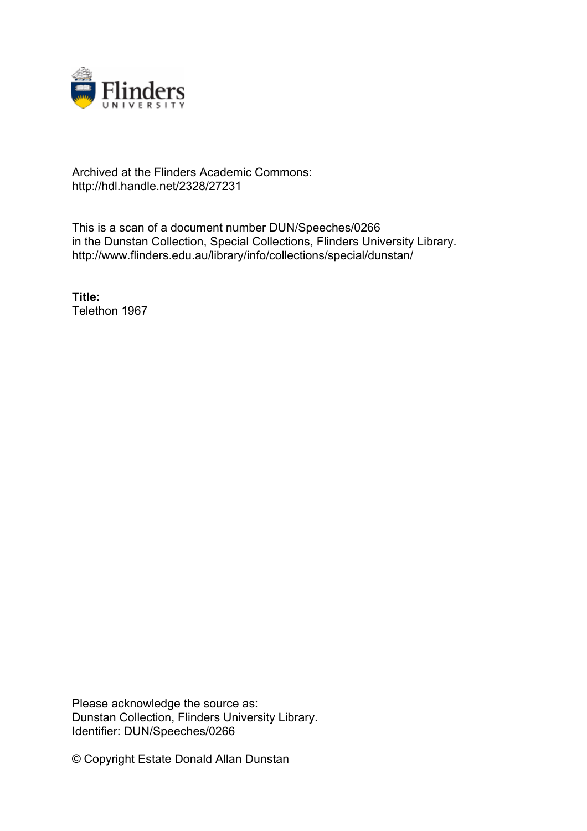

## Archived at the Flinders Academic Commons: http://hdl.handle.net/2328/27231

This is a scan of a document number DUN/Speeches/0266 in the Dunstan Collection, Special Collections, Flinders University Library. http://www.flinders.edu.au/library/info/collections/special/dunstan/

**Title:** Telethon 1967

Please acknowledge the source as: Dunstan Collection, Flinders University Library. Identifier: DUN/Speeches/0266

© Copyright Estate Donald Allan Dunstan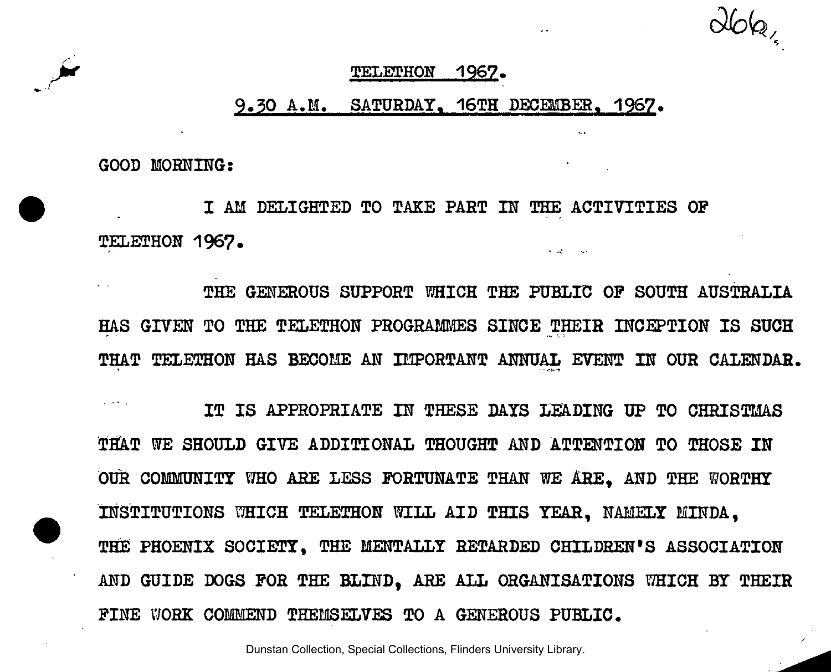**C**Sfofe/

## **TELETHON 1967.**

**9\*30 A.M. SATURDAY. 16TH DECEMBER, 1967.** 

**GOOD HORNING:** 

**I AM DELIGHTED TO TAKE PART IN THE ACTIVITIES OP TELETHON 1967.** 

**THE GENEROUS SUPPORT MICH THE PUBLIC OP SOUTH AUSTRALIA HAS GIVEN TO THE TELETHON PROGRAMMES SINCE THEIR INCEPTION IS SUCH THAT TELETHON HAS BECOME AN IMPORTANT ANNUAL EVENT IN OUR CALENDAR.** 

**IT IS APPROPRIATE IN THESE DAYS LEADING UP TO CHRISTMAS THAT WE SHOULD GIVE ADDITIONAL THOUGHT AND ATTENTION TO THOSE IN OUR COMMUNITY WHO ARE LESS FORTUNATE THAN WE ARE, AND THE WORTHY INSTITUTIONS WHICH TELETHON WILL AID THIS YEAR, NAMELY MINDA, THE PHOENIX SOCIETY, THE MENTALLY RETARDED CHILDREN'S ASSOCIATION AND GUIDE DOGS FOR THE BLIND, ARE ALL ORGANISATIONS WHICH BY THEIR PINE WORK COMMEND THEMSELVES TO A GENEROUS PUBLIC.** 

Dunstan Collection, Special Collections, Flinders University Library.